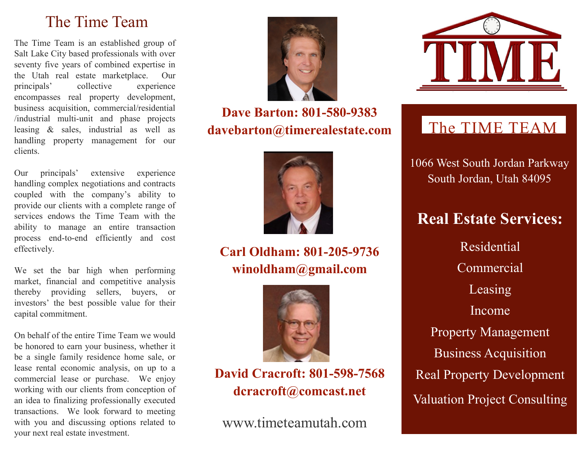## The Time Team

The Time Team is an established group of Salt Lake City based professionals with over seventy five years of combined expertise in the Utah real estate marketplace. Our principals' collective experience encompasses real property development, business acquisition, commercial/residential /industrial multi-unit and phase projects leasing & sales, industrial as well as handling property management for our clients.

Our principals' extensive experience handling complex negotiations and contracts coupled with the company's ability to provide our clients with a complete range of services endows the Time Team with the ability to manage an entire transaction process end-to-end efficiently and cost effectively.

We set the bar high when performing market, financial and competitive analysis thereby providing sellers, buyers, or investors' the best possible value for their capital commitment.

On behalf of the entire Time Team we would be honored to earn your business, whether it be a single family residence home sale, or lease rental economic analysis, on up to a commercial lease or purchase. We enjoy working with our clients from conception of an idea to finalizing professionally executed transactions. We look forward to meeting with you and discussing options related to your next real estate investment.



## **Dave Barton: 801-580-9383 davebarton@timerealestate.com**



#### **Carl Oldham: 801-205-9736 winoldham@gmail.com**



#### **David Cracroft: 801-598-7568 dcracroft@comcast.net**

www.timeteamutah.com



## The TIME TEAM

1066 West South Jordan Parkway South Jordan, Utah 84095

## **Real Estate Services:**

Residential Commercial Leasing Income Property Management Business Acquisition Real Property Development Valuation Project Consulting